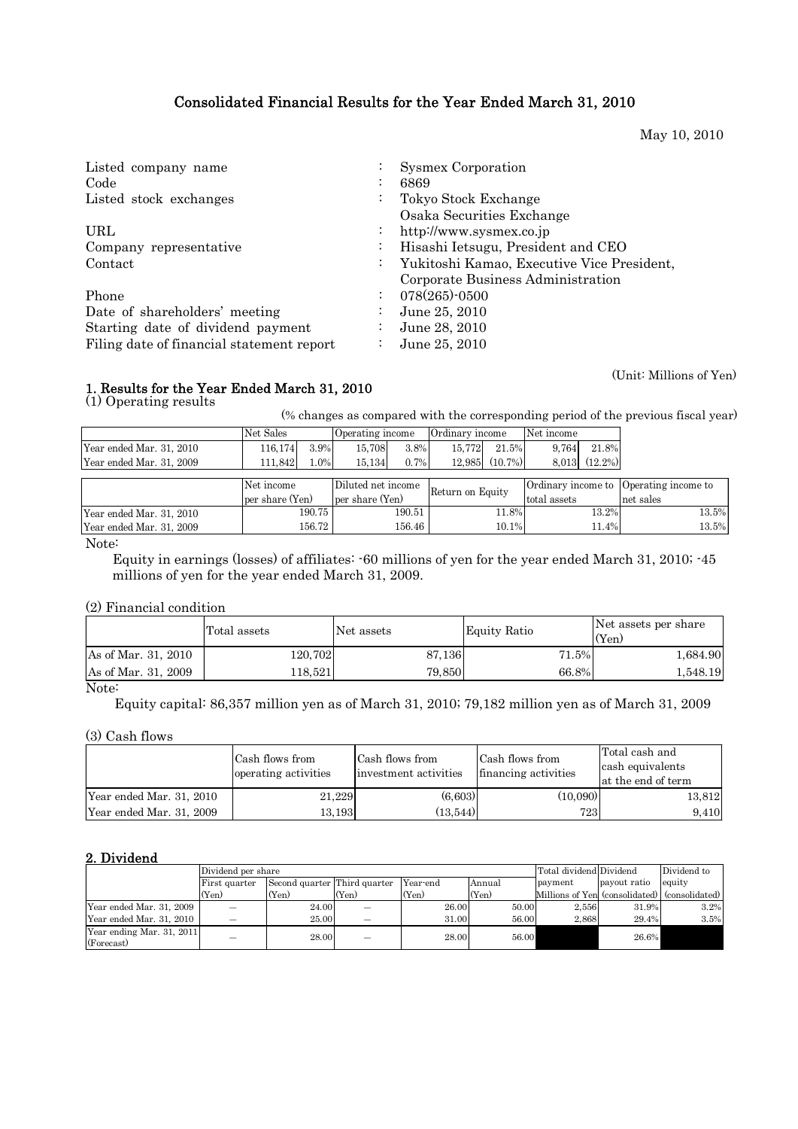# Consolidated Financial Results for the Year Ended March 31, 2010

May 10, 2010

| Listed company name<br>Code               |                      | Sysmex Corporation<br>6869                                                      |
|-------------------------------------------|----------------------|---------------------------------------------------------------------------------|
| Listed stock exchanges                    | $\bullet$            | Tokyo Stock Exchange<br>Osaka Securities Exchange                               |
| URL                                       | $\ddot{\cdot}$       | http://www.sysmex.co.jp                                                         |
| Company representative                    | $\bullet$            | Hisashi Ietsugu, President and CEO                                              |
| Contact                                   | $\ddot{\phantom{0}}$ | Yukitoshi Kamao, Executive Vice President,<br>Corporate Business Administration |
| Phone                                     | $\ddot{\cdot}$       | $078(265)$ -0500                                                                |
| Date of shareholders' meeting             |                      | June 25, 2010                                                                   |
| Starting date of dividend payment         |                      | June 28, 2010                                                                   |
| Filing date of financial statement report | $\cdot$              | June 25, 2010                                                                   |

(Unit: Millions of Yen)

# 1. Results for the Year Ended March 31, 2010

(1) Operating results

(% changes as compared with the corresponding period of the previous fiscal year)

|                          | Net Sales |         | Operating income |      | Ordinary income |            | Net income |            |
|--------------------------|-----------|---------|------------------|------|-----------------|------------|------------|------------|
| Year ended Mar. 31, 2010 | 116.174   | 3.9%    | 15.708           | 3.8% | 15.772          | 21.5%      | 9.764      | 21.8%      |
| Year ended Mar. 31. 2009 | .842      | $1.0\%$ | 15.134           | 0.7% | 12.985          | $(10.7\%)$ | 8.013      | $(12.2\%)$ |

|                          | Net income      | Diluted net income | Return on Equity |              | Ordinary income to Operating income to |
|--------------------------|-----------------|--------------------|------------------|--------------|----------------------------------------|
|                          | per share (Yen) | per share (Yen)    |                  | total assets | net sales                              |
| Year ended Mar. 31, 2010 | 190.75          | 190.51             | 1.8%             | 13.2%        | 13.5%                                  |
| Year ended Mar. 31. 2009 | 156.72          | 156.46             | 10.1%            | 1.4%         | 13.5%                                  |

Note:

 Equity in earnings (losses) of affiliates: -60 millions of yen for the year ended March 31, 2010; -45 millions of yen for the year ended March 31, 2009.

## (2) Financial condition

|                     | Total assets | Net assets | <b>Equity Ratio</b> | Net assets per share<br>(Yen) |
|---------------------|--------------|------------|---------------------|-------------------------------|
| As of Mar. 31, 2010 | 120,702      | 87,136     | 71.5%               | 1,684.90                      |
| As of Mar. 31, 2009 | 18.5211      | 79,850     | 66.8%               | 1,548.19                      |
| $\mathbf{M}$        |              |            |                     |                               |

Note:

Equity capital: 86,357 million yen as of March 31, 2010; 79,182 million yen as of March 31, 2009

(3) Cash flows

|                          | Cash flows from<br>operating activities | Cash flows from<br>investment activities | Cash flows from<br>financing activities | Total cash and<br>cash equivalents<br>at the end of term |
|--------------------------|-----------------------------------------|------------------------------------------|-----------------------------------------|----------------------------------------------------------|
| Year ended Mar. 31, 2010 | 21,229                                  | (6,603)                                  | (10,090)                                | 13,812                                                   |
| Year ended Mar. 31, 2009 | 13.193l                                 | (13.544)                                 | 723                                     | 9.410                                                    |

# 2. Dividend

|                                         | Dividend per share |                              | Total dividend Dividend |                    | Dividend to |                                               |              |        |
|-----------------------------------------|--------------------|------------------------------|-------------------------|--------------------|-------------|-----------------------------------------------|--------------|--------|
|                                         | First quarter      | Second quarter Third quarter |                         | Year-end<br>Annual |             | payment                                       | payout ratio | equity |
|                                         | (Yen)              | (Yen)                        | (Yen)                   | (Yen)              | (Yen)       | Millions of Yen (consolidated) (consolidated) |              |        |
| Year ended Mar. 31, 2009                | _                  | 24.00                        | _                       | 26.00              | 50.00       | 2.556                                         | 31.9%        | 3.2%   |
| Year ended Mar. 31, 2010                |                    | 25.00                        |                         | 31.00              | 56.00       | 2.868                                         | 29.4%        | 3.5%   |
| Year ending Mar. 31, 2011<br>(Forecast) | _                  | 28.00                        |                         | 28.00              | 56.00       |                                               | 26.6%        |        |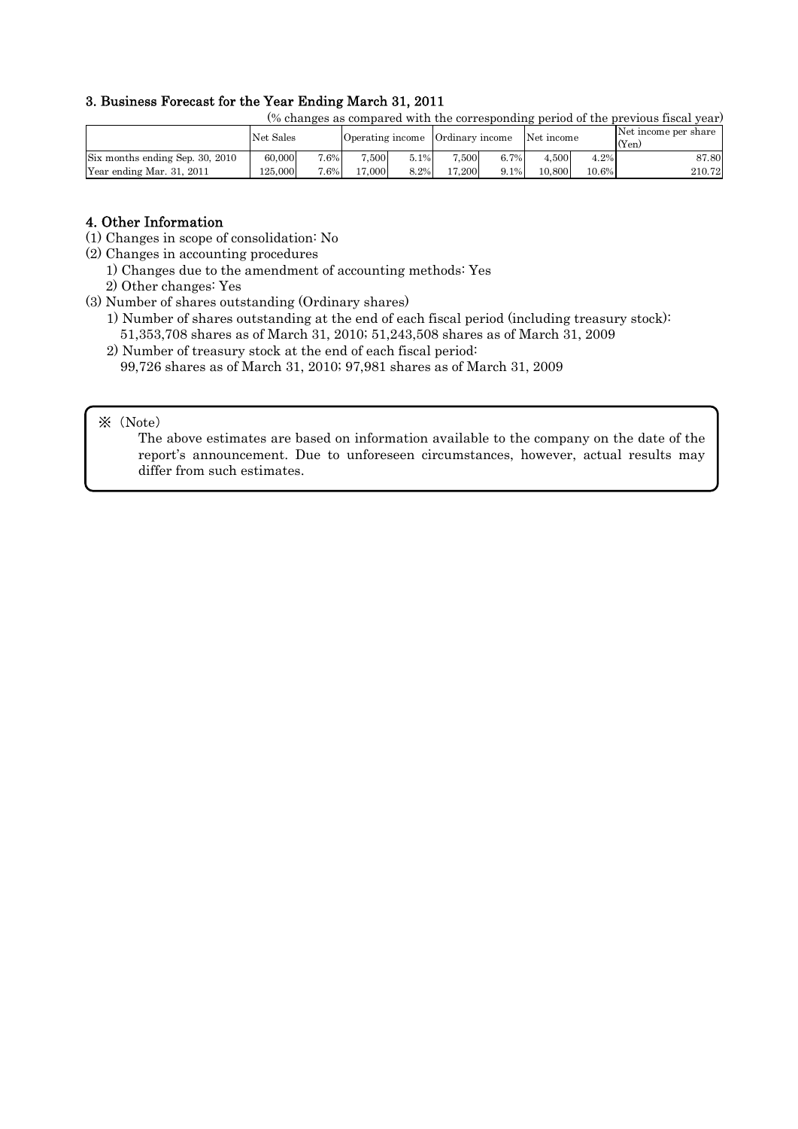# 3. Business Forecast for the Year Ending March 31, 2011

(% changes as compared with the corresponding period of the previous fiscal year)

|                                 | Net Sales |     | Operating income |      | Ordinary income |         | Net income |          | Net income per share<br>(Yen) |
|---------------------------------|-----------|-----|------------------|------|-----------------|---------|------------|----------|-------------------------------|
| Six months ending Sep. 30, 2010 | 60,000    | .6% | .500             | 5.1% | 7.500           | 6.7%    | 4.500      | 4.2%     | 87.80                         |
| Year ending Mar. 31, 2011       | 125.000   | .6% | 7.000            | 8.2% | 17.200          | $9.1\%$ | 10.800     | $10.6\%$ | 210.72                        |

## 4. Other Information

- (1) Changes in scope of consolidation: No
- (2) Changes in accounting procedures
	- 1) Changes due to the amendment of accounting methods: Yes
	- 2) Other changes: Yes

(3) Number of shares outstanding (Ordinary shares)

- 1) Number of shares outstanding at the end of each fiscal period (including treasury stock): 51,353,708 shares as of March 31, 2010; 51,243,508 shares as of March 31, 2009
- 2) Number of treasury stock at the end of each fiscal period: 99,726 shares as of March 31, 2010; 97,981 shares as of March 31, 2009
- ※(Note)

The above estimates are based on information available to the company on the date of the report's announcement. Due to unforeseen circumstances, however, actual results may differ from such estimates.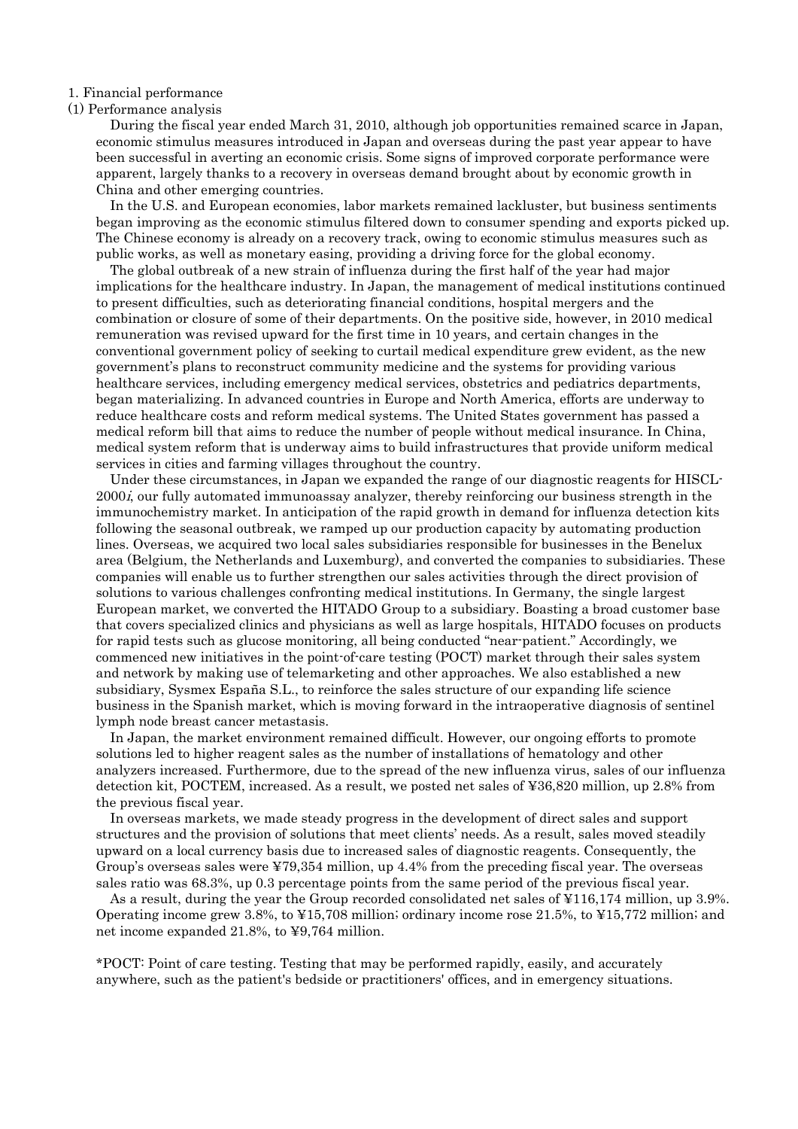1. Financial performance

#### (1) Performance analysis

During the fiscal year ended March 31, 2010, although job opportunities remained scarce in Japan, economic stimulus measures introduced in Japan and overseas during the past year appear to have been successful in averting an economic crisis. Some signs of improved corporate performance were apparent, largely thanks to a recovery in overseas demand brought about by economic growth in China and other emerging countries.

In the U.S. and European economies, labor markets remained lackluster, but business sentiments began improving as the economic stimulus filtered down to consumer spending and exports picked up. The Chinese economy is already on a recovery track, owing to economic stimulus measures such as public works, as well as monetary easing, providing a driving force for the global economy.

The global outbreak of a new strain of influenza during the first half of the year had major implications for the healthcare industry. In Japan, the management of medical institutions continued to present difficulties, such as deteriorating financial conditions, hospital mergers and the combination or closure of some of their departments. On the positive side, however, in 2010 medical remuneration was revised upward for the first time in 10 years, and certain changes in the conventional government policy of seeking to curtail medical expenditure grew evident, as the new government's plans to reconstruct community medicine and the systems for providing various healthcare services, including emergency medical services, obstetrics and pediatrics departments, began materializing. In advanced countries in Europe and North America, efforts are underway to reduce healthcare costs and reform medical systems. The United States government has passed a medical reform bill that aims to reduce the number of people without medical insurance. In China, medical system reform that is underway aims to build infrastructures that provide uniform medical services in cities and farming villages throughout the country.

Under these circumstances, in Japan we expanded the range of our diagnostic reagents for HISCL-2000*i*, our fully automated immunoassay analyzer, thereby reinforcing our business strength in the immunochemistry market. In anticipation of the rapid growth in demand for influenza detection kits following the seasonal outbreak, we ramped up our production capacity by automating production lines. Overseas, we acquired two local sales subsidiaries responsible for businesses in the Benelux area (Belgium, the Netherlands and Luxemburg), and converted the companies to subsidiaries. These companies will enable us to further strengthen our sales activities through the direct provision of solutions to various challenges confronting medical institutions. In Germany, the single largest European market, we converted the HITADO Group to a subsidiary. Boasting a broad customer base that covers specialized clinics and physicians as well as large hospitals, HITADO focuses on products for rapid tests such as glucose monitoring, all being conducted "near-patient." Accordingly, we commenced new initiatives in the point-of-care testing (POCT) market through their sales system and network by making use of telemarketing and other approaches. We also established a new subsidiary, Sysmex España S.L., to reinforce the sales structure of our expanding life science business in the Spanish market, which is moving forward in the intraoperative diagnosis of sentinel lymph node breast cancer metastasis.

In Japan, the market environment remained difficult. However, our ongoing efforts to promote solutions led to higher reagent sales as the number of installations of hematology and other analyzers increased. Furthermore, due to the spread of the new influenza virus, sales of our influenza detection kit, POCTEM, increased. As a result, we posted net sales of ¥36,820 million, up 2.8% from the previous fiscal year.

In overseas markets, we made steady progress in the development of direct sales and support structures and the provision of solutions that meet clients' needs. As a result, sales moved steadily upward on a local currency basis due to increased sales of diagnostic reagents. Consequently, the Group's overseas sales were ¥79,354 million, up 4.4% from the preceding fiscal year. The overseas sales ratio was 68.3%, up 0.3 percentage points from the same period of the previous fiscal year.

As a result, during the year the Group recorded consolidated net sales of ¥116,174 million, up 3.9%. Operating income grew 3.8%, to ¥15,708 million; ordinary income rose 21.5%, to ¥15,772 million; and net income expanded 21.8%, to ¥9,764 million.

\*POCT: Point of care testing. Testing that may be performed rapidly, easily, and accurately anywhere, such as the patient's bedside or practitioners' offices, and in emergency situations.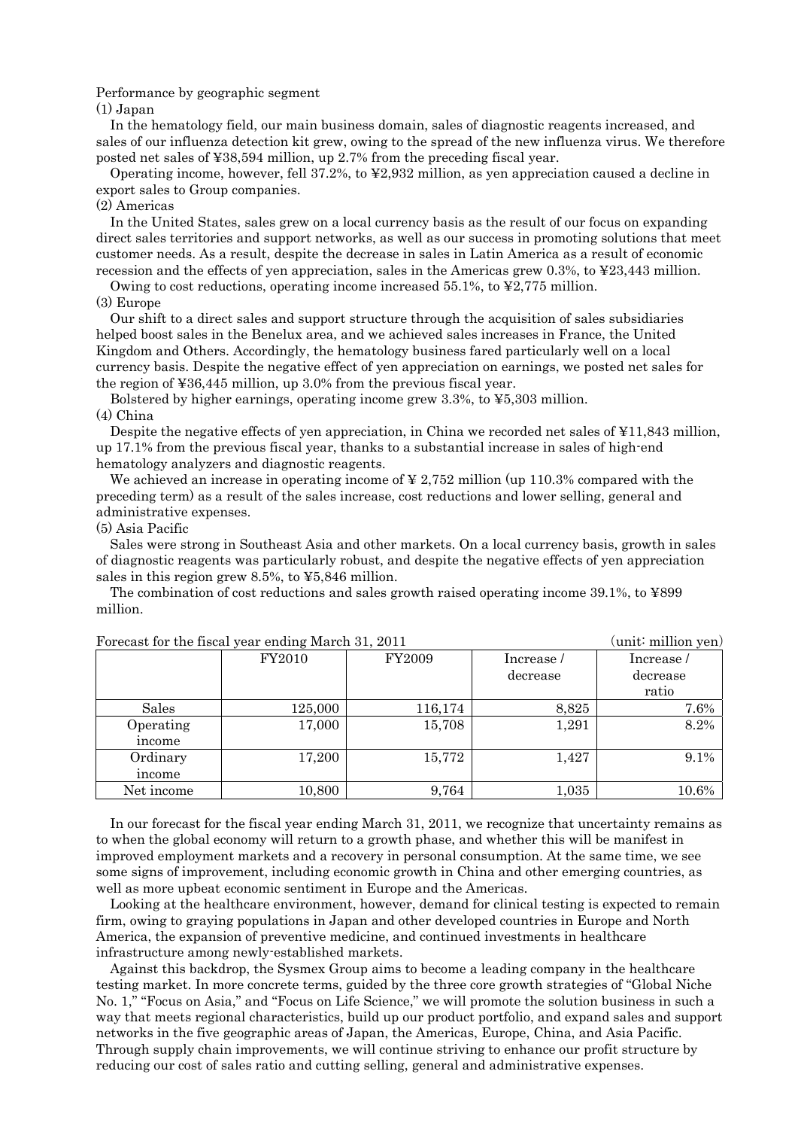#### Performance by geographic segment

#### (1) Japan

In the hematology field, our main business domain, sales of diagnostic reagents increased, and sales of our influenza detection kit grew, owing to the spread of the new influenza virus. We therefore posted net sales of ¥38,594 million, up 2.7% from the preceding fiscal year.

Operating income, however, fell 37.2%, to ¥2,932 million, as yen appreciation caused a decline in export sales to Group companies.

#### (2) Americas

In the United States, sales grew on a local currency basis as the result of our focus on expanding direct sales territories and support networks, as well as our success in promoting solutions that meet customer needs. As a result, despite the decrease in sales in Latin America as a result of economic recession and the effects of yen appreciation, sales in the Americas grew 0.3%, to ¥23,443 million.

Owing to cost reductions, operating income increased  $55.1\%$ , to  $\frac{1}{2}2,775$  million. (3) Europe

Our shift to a direct sales and support structure through the acquisition of sales subsidiaries helped boost sales in the Benelux area, and we achieved sales increases in France, the United Kingdom and Others. Accordingly, the hematology business fared particularly well on a local currency basis. Despite the negative effect of yen appreciation on earnings, we posted net sales for the region of ¥36,445 million, up 3.0% from the previous fiscal year.

Bolstered by higher earnings, operating income grew 3.3%, to ¥5,303 million. (4) China

Despite the negative effects of yen appreciation, in China we recorded net sales of ¥11,843 million, up 17.1% from the previous fiscal year, thanks to a substantial increase in sales of high-end hematology analyzers and diagnostic reagents.

We achieved an increase in operating income of  $\frac{1}{2}$  2,752 million (up 110.3% compared with the preceding term) as a result of the sales increase, cost reductions and lower selling, general and administrative expenses.

#### (5) Asia Pacific

Sales were strong in Southeast Asia and other markets. On a local currency basis, growth in sales of diagnostic reagents was particularly robust, and despite the negative effects of yen appreciation sales in this region grew 8.5%, to ¥5,846 million.

The combination of cost reductions and sales growth raised operating income 39.1%, to ¥899 million.

| Forecast for the fiscal year ending March 31, 2011 | (unit∶ million yen) |         |            |            |
|----------------------------------------------------|---------------------|---------|------------|------------|
|                                                    | FY2010              | FY2009  | Increase / | Increase / |
|                                                    |                     |         | decrease   | decrease   |
|                                                    |                     |         |            | ratio      |
| Sales                                              | 125,000             | 116,174 | 8,825      | 7.6%       |
| Operating                                          | 17,000              | 15,708  | 1,291      | 8.2%       |
| income                                             |                     |         |            |            |
| Ordinary                                           | 17,200              | 15,772  | 1,427      | 9.1%       |
| income                                             |                     |         |            |            |
| Net income                                         | 10,800              | 9,764   | 1,035      | 10.6%      |

In our forecast for the fiscal year ending March 31, 2011, we recognize that uncertainty remains as to when the global economy will return to a growth phase, and whether this will be manifest in improved employment markets and a recovery in personal consumption. At the same time, we see some signs of improvement, including economic growth in China and other emerging countries, as well as more upbeat economic sentiment in Europe and the Americas.

Looking at the healthcare environment, however, demand for clinical testing is expected to remain firm, owing to graying populations in Japan and other developed countries in Europe and North America, the expansion of preventive medicine, and continued investments in healthcare infrastructure among newly-established markets.

Against this backdrop, the Sysmex Group aims to become a leading company in the healthcare testing market. In more concrete terms, guided by the three core growth strategies of "Global Niche No. 1," "Focus on Asia," and "Focus on Life Science," we will promote the solution business in such a way that meets regional characteristics, build up our product portfolio, and expand sales and support networks in the five geographic areas of Japan, the Americas, Europe, China, and Asia Pacific. Through supply chain improvements, we will continue striving to enhance our profit structure by reducing our cost of sales ratio and cutting selling, general and administrative expenses.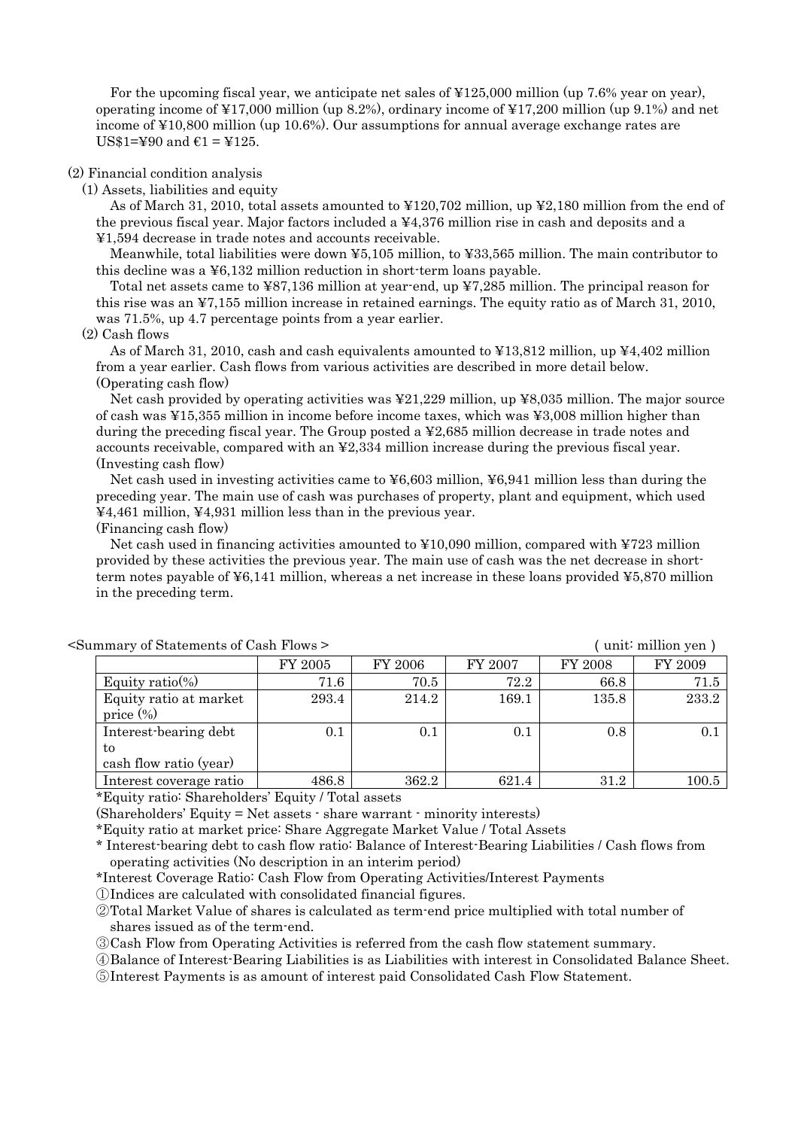For the upcoming fiscal year, we anticipate net sales of ¥125,000 million (up 7.6% year on year), operating income of ¥17,000 million (up 8.2%), ordinary income of ¥17,200 million (up 9.1%) and net income of ¥10,800 million (up 10.6%). Our assumptions for annual average exchange rates are US\$1=¥90 and  $\epsilon$ 1 = ¥125.

#### (2) Financial condition analysis

(1) Assets, liabilities and equity

As of March 31, 2010, total assets amounted to ¥120,702 million, up ¥2,180 million from the end of the previous fiscal year. Major factors included a ¥4,376 million rise in cash and deposits and a ¥1,594 decrease in trade notes and accounts receivable.

Meanwhile, total liabilities were down ¥5,105 million, to ¥33,565 million. The main contributor to this decline was a ¥6,132 million reduction in short-term loans payable.

Total net assets came to ¥87,136 million at year-end, up ¥7,285 million. The principal reason for this rise was an ¥7,155 million increase in retained earnings. The equity ratio as of March 31, 2010, was 71.5%, up 4.7 percentage points from a year earlier.

#### (2) Cash flows

As of March 31, 2010, cash and cash equivalents amounted to ¥13,812 million, up ¥4,402 million from a year earlier. Cash flows from various activities are described in more detail below. (Operating cash flow)

Net cash provided by operating activities was ¥21,229 million, up ¥8,035 million. The major source of cash was ¥15,355 million in income before income taxes, which was ¥3,008 million higher than during the preceding fiscal year. The Group posted a ¥2,685 million decrease in trade notes and accounts receivable, compared with an ¥2,334 million increase during the previous fiscal year. (Investing cash flow)

Net cash used in investing activities came to  $\text{\textless} 603$  million,  $\text{\textless} 6941$  million less than during the preceding year. The main use of cash was purchases of property, plant and equipment, which used ¥4,461 million, ¥4,931 million less than in the previous year.

(Financing cash flow)

Net cash used in financing activities amounted to  $\yen 10,090$  million, compared with  $\yen 723$  million provided by these activities the previous year. The main use of cash was the net decrease in shortterm notes payable of ¥6,141 million, whereas a net increase in these loans provided ¥5,870 million in the preceding term.

| minary or Diatements or Cash Flows - |          |         |         |         | $\mu$ and $\mu$ and $\mu$ and $\mu$ and $\mu$ |
|--------------------------------------|----------|---------|---------|---------|-----------------------------------------------|
|                                      | FY 2005  | FY 2006 | FY 2007 | FY 2008 | FY 2009                                       |
| Equity ratio(%)                      | $71.6\,$ | 70.5    | 72.2    | 66.8    | 71.5                                          |
| Equity ratio at market               | 293.4    | 214.2   | 169.1   | 135.8   | 233.2                                         |
| price $(\%)$                         |          |         |         |         |                                               |
| Interest-bearing debt                | 0.1      | 0.1     | 0.1     | 0.8     |                                               |
| to                                   |          |         |         |         |                                               |
| cash flow ratio (year)               |          |         |         |         |                                               |
| Interest coverage ratio              | 486.8    | 362.2   | 621.4   | 31.2    | $100.5\,$                                     |

<Summary of Statements of Cash Flows > (unit: million yen)

\*Equity ratio: Shareholders' Equity / Total assets

(Shareholders' Equity = Net assets - share warrant - minority interests)

\*Equity ratio at market price: Share Aggregate Market Value / Total Assets

\* Interest-bearing debt to cash flow ratio: Balance of Interest-Bearing Liabilities / Cash flows from operating activities (No description in an interim period)

\*Interest Coverage Ratio: Cash Flow from Operating Activities/Interest Payments

①Indices are calculated with consolidated financial figures.

②Total Market Value of shares is calculated as term-end price multiplied with total number of shares issued as of the term-end.

③Cash Flow from Operating Activities is referred from the cash flow statement summary.

④Balance of Interest-Bearing Liabilities is as Liabilities with interest in Consolidated Balance Sheet.

⑤Interest Payments is as amount of interest paid Consolidated Cash Flow Statement.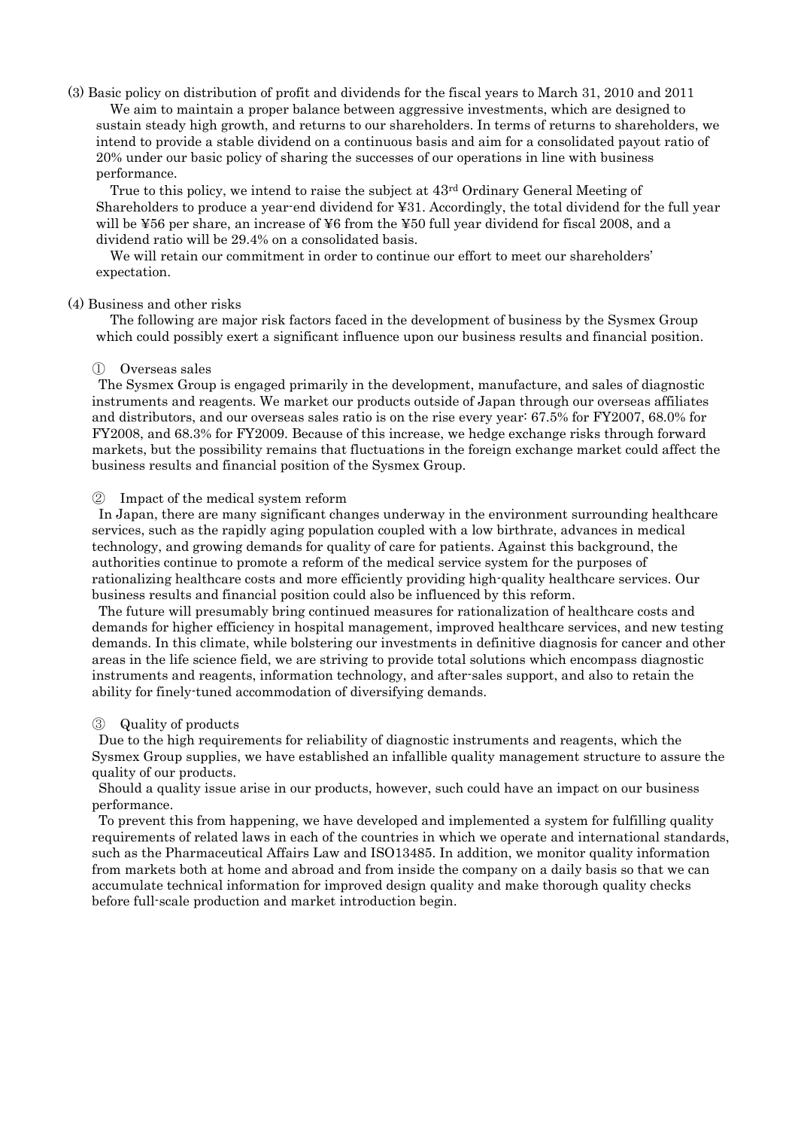## (3) Basic policy on distribution of profit and dividends for the fiscal years to March 31, 2010 and 2011 We aim to maintain a proper balance between aggressive investments, which are designed to sustain steady high growth, and returns to our shareholders. In terms of returns to shareholders, we intend to provide a stable dividend on a continuous basis and aim for a consolidated payout ratio of 20% under our basic policy of sharing the successes of our operations in line with business performance.

True to this policy, we intend to raise the subject at  $43<sup>rd</sup>$  Ordinary General Meeting of Shareholders to produce a year-end dividend for ¥31. Accordingly, the total dividend for the full year will be ¥56 per share, an increase of ¥6 from the ¥50 full year dividend for fiscal 2008, and a dividend ratio will be 29.4% on a consolidated basis.

We will retain our commitment in order to continue our effort to meet our shareholders' expectation.

#### (4) Business and other risks

The following are major risk factors faced in the development of business by the Sysmex Group which could possibly exert a significant influence upon our business results and financial position.

#### ① Overseas sales

The Sysmex Group is engaged primarily in the development, manufacture, and sales of diagnostic instruments and reagents. We market our products outside of Japan through our overseas affiliates and distributors, and our overseas sales ratio is on the rise every year: 67.5% for FY2007, 68.0% for FY2008, and 68.3% for FY2009. Because of this increase, we hedge exchange risks through forward markets, but the possibility remains that fluctuations in the foreign exchange market could affect the business results and financial position of the Sysmex Group.

#### ② Impact of the medical system reform

In Japan, there are many significant changes underway in the environment surrounding healthcare services, such as the rapidly aging population coupled with a low birthrate, advances in medical technology, and growing demands for quality of care for patients. Against this background, the authorities continue to promote a reform of the medical service system for the purposes of rationalizing healthcare costs and more efficiently providing high-quality healthcare services. Our business results and financial position could also be influenced by this reform.

The future will presumably bring continued measures for rationalization of healthcare costs and demands for higher efficiency in hospital management, improved healthcare services, and new testing demands. In this climate, while bolstering our investments in definitive diagnosis for cancer and other areas in the life science field, we are striving to provide total solutions which encompass diagnostic instruments and reagents, information technology, and after-sales support, and also to retain the ability for finely-tuned accommodation of diversifying demands.

## ③ Quality of products

Due to the high requirements for reliability of diagnostic instruments and reagents, which the Sysmex Group supplies, we have established an infallible quality management structure to assure the quality of our products.

Should a quality issue arise in our products, however, such could have an impact on our business performance.

To prevent this from happening, we have developed and implemented a system for fulfilling quality requirements of related laws in each of the countries in which we operate and international standards, such as the Pharmaceutical Affairs Law and ISO13485. In addition, we monitor quality information from markets both at home and abroad and from inside the company on a daily basis so that we can accumulate technical information for improved design quality and make thorough quality checks before full-scale production and market introduction begin.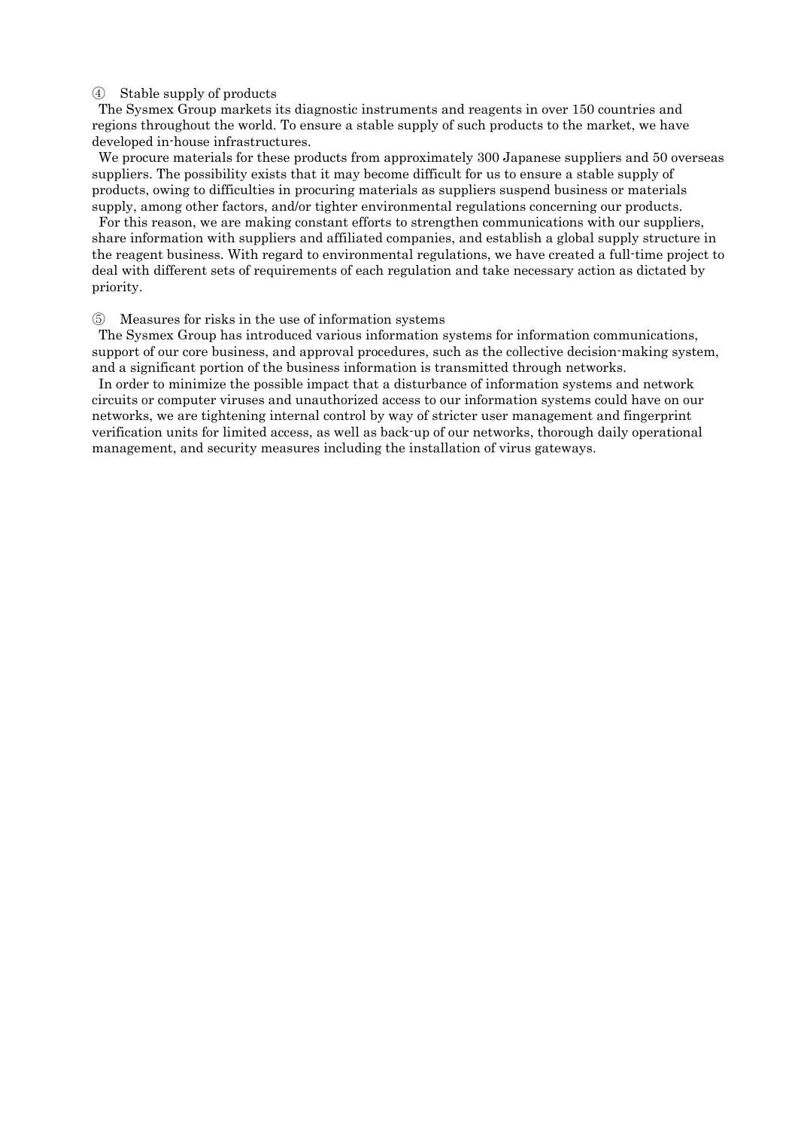#### ④ Stable supply of products

The Sysmex Group markets its diagnostic instruments and reagents in over 150 countries and regions throughout the world. To ensure a stable supply of such products to the market, we have developed in-house infrastructures.

We procure materials for these products from approximately 300 Japanese suppliers and 50 overseas suppliers. The possibility exists that it may become difficult for us to ensure a stable supply of products, owing to difficulties in procuring materials as suppliers suspend business or materials supply, among other factors, and/or tighter environmental regulations concerning our products.

For this reason, we are making constant efforts to strengthen communications with our suppliers, share information with suppliers and affiliated companies, and establish a global supply structure in the reagent business. With regard to environmental regulations, we have created a full-time project to deal with different sets of requirements of each regulation and take necessary action as dictated by priority.

#### ⑤ Measures for risks in the use of information systems

The Sysmex Group has introduced various information systems for information communications, support of our core business, and approval procedures, such as the collective decision-making system, and a significant portion of the business information is transmitted through networks.

In order to minimize the possible impact that a disturbance of information systems and network circuits or computer viruses and unauthorized access to our information systems could have on our networks, we are tightening internal control by way of stricter user management and fingerprint verification units for limited access, as well as back-up of our networks, thorough daily operational management, and security measures including the installation of virus gateways.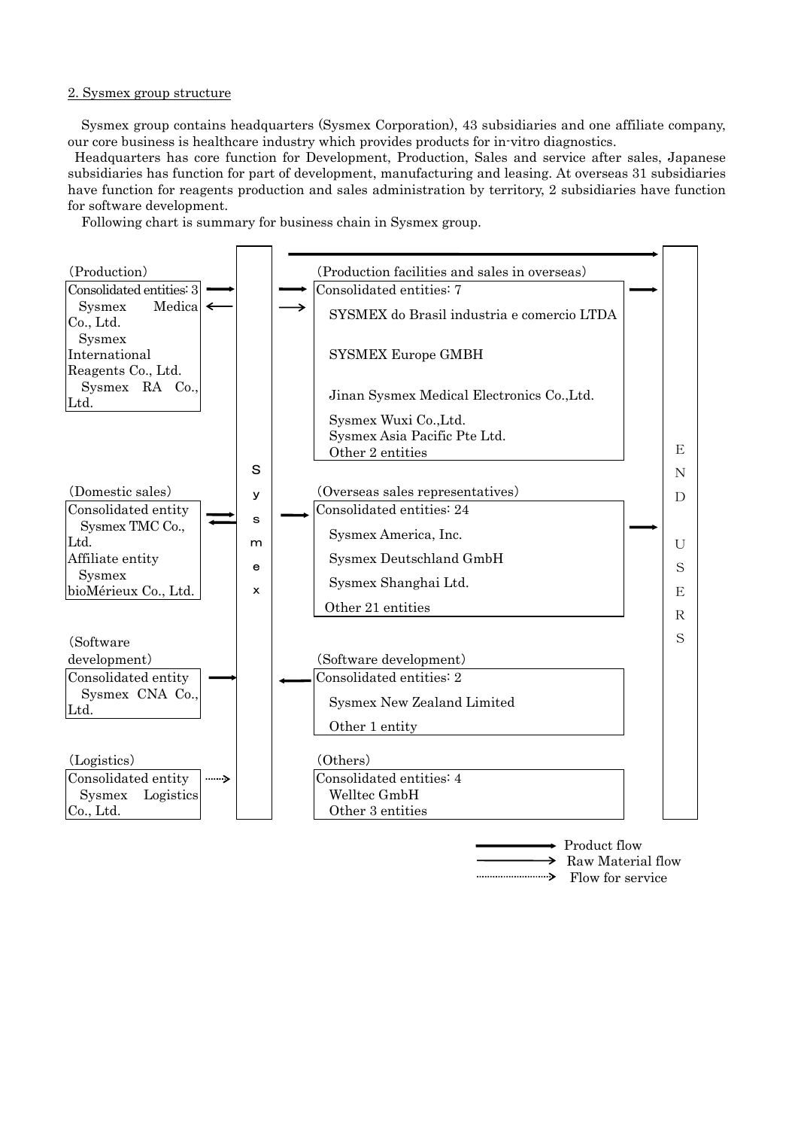#### 2. Sysmex group structure

Sysmex group contains headquarters (Sysmex Corporation), 43 subsidiaries and one affiliate company, our core business is healthcare industry which provides products for in-vitro diagnostics.

 Headquarters has core function for Development, Production, Sales and service after sales, Japanese subsidiaries has function for part of development, manufacturing and leasing. At overseas 31 subsidiaries have function for reagents production and sales administration by territory, 2 subsidiaries have function for software development.

Following chart is summary for business chain in Sysmex group.



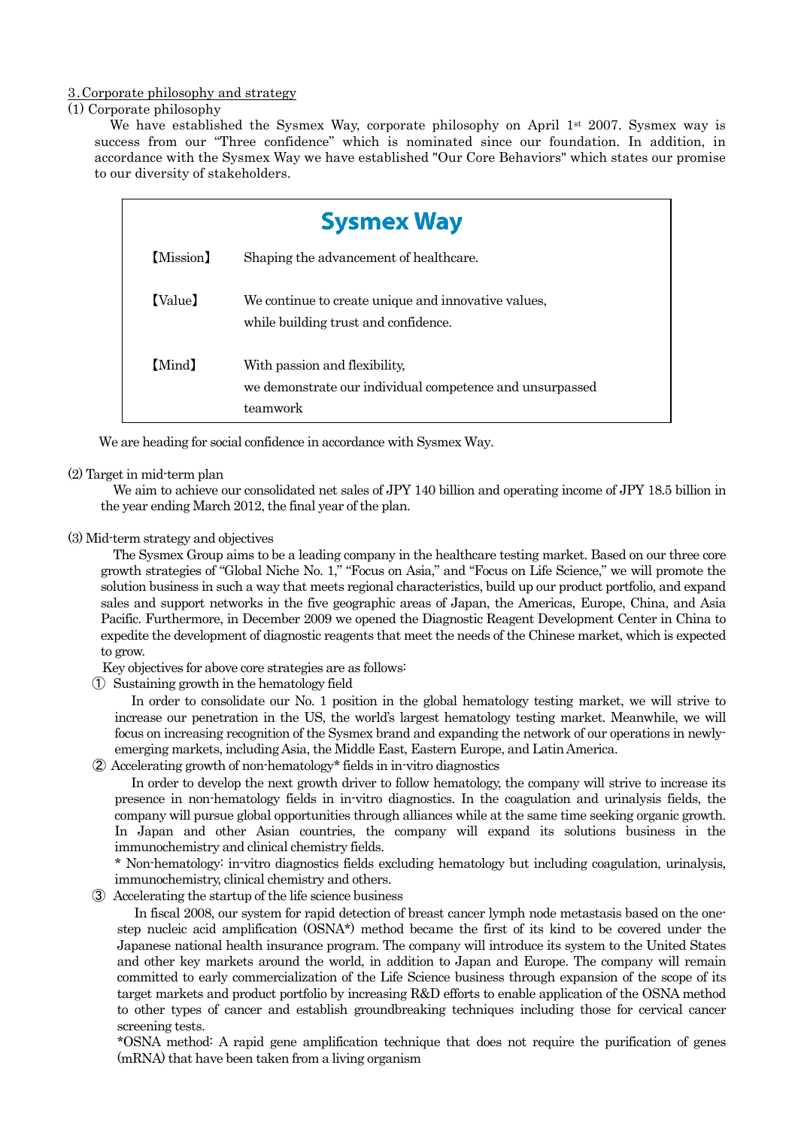#### 3.Corporate philosophy and strategy

#### (1) Corporate philosophy

We have established the Sysmex Way, corporate philosophy on April 1st 2007. Sysmex way is success from our "Three confidence" which is nominated since our foundation. In addition, in accordance with the Sysmex Way we have established "Our Core Behaviors" which states our promise to our diversity of stakeholders.

|           | <b>Sysmex Way</b>                                                                                     |  |  |  |  |  |  |  |
|-----------|-------------------------------------------------------------------------------------------------------|--|--|--|--|--|--|--|
| (Mission) | Shaping the advancement of healthcare.                                                                |  |  |  |  |  |  |  |
| [Value]   | We continue to create unique and innovative values,<br>while building trust and confidence.           |  |  |  |  |  |  |  |
| [Mind]    | With passion and flexibility,<br>we demonstrate our individual competence and unsurpassed<br>teamwork |  |  |  |  |  |  |  |

We are heading for social confidence in accordance with Sysmex Way.

#### (2) Target in mid-term plan

We aim to achieve our consolidated net sales of JPY 140 billion and operating income of JPY 18.5 billion in the year ending March 2012, the final year of the plan.

#### (3) Mid-term strategy and objectives

The Sysmex Group aims to be a leading company in the healthcare testing market. Based on our three core growth strategies of "Global Niche No. 1," "Focus on Asia," and "Focus on Life Science," we will promote the solution business in such a way that meets regional characteristics, build up our product portfolio, and expand sales and support networks in the five geographic areas of Japan, the Americas, Europe, China, and Asia Pacific. Furthermore, in December 2009 we opened the Diagnostic Reagent Development Center in China to expedite the development of diagnostic reagents that meet the needs of the Chinese market, which is expected to grow.

Key objectives for above core strategies are as follows:

① Sustaining growth in the hematology field

In order to consolidate our No. 1 position in the global hematology testing market, we will strive to increase our penetration in the US, the world's largest hematology testing market. Meanwhile, we will focus on increasing recognition of the Sysmex brand and expanding the network of our operations in newlyemerging markets, including Asia, the Middle East, Eastern Europe, and Latin America.

② Accelerating growth of non-hematology\* fields in in-vitro diagnostics

In order to develop the next growth driver to follow hematology, the company will strive to increase its presence in non-hematology fields in in-vitro diagnostics. In the coagulation and urinalysis fields, the company will pursue global opportunities through alliances while at the same time seeking organic growth. In Japan and other Asian countries, the company will expand its solutions business in the immunochemistry and clinical chemistry fields.

\* Non-hematology: in-vitro diagnostics fields excluding hematology but including coagulation, urinalysis, immunochemistry, clinical chemistry and others.

③ Accelerating the startup of the life science business

In fiscal 2008, our system for rapid detection of breast cancer lymph node metastasis based on the onestep nucleic acid amplification (OSNA\*) method became the first of its kind to be covered under the Japanese national health insurance program. The company will introduce its system to the United States and other key markets around the world, in addition to Japan and Europe. The company will remain committed to early commercialization of the Life Science business through expansion of the scope of its target markets and product portfolio by increasing R&D efforts to enable application of the OSNA method to other types of cancer and establish groundbreaking techniques including those for cervical cancer screening tests.

\*OSNA method: A rapid gene amplification technique that does not require the purification of genes (mRNA) that have been taken from a living organism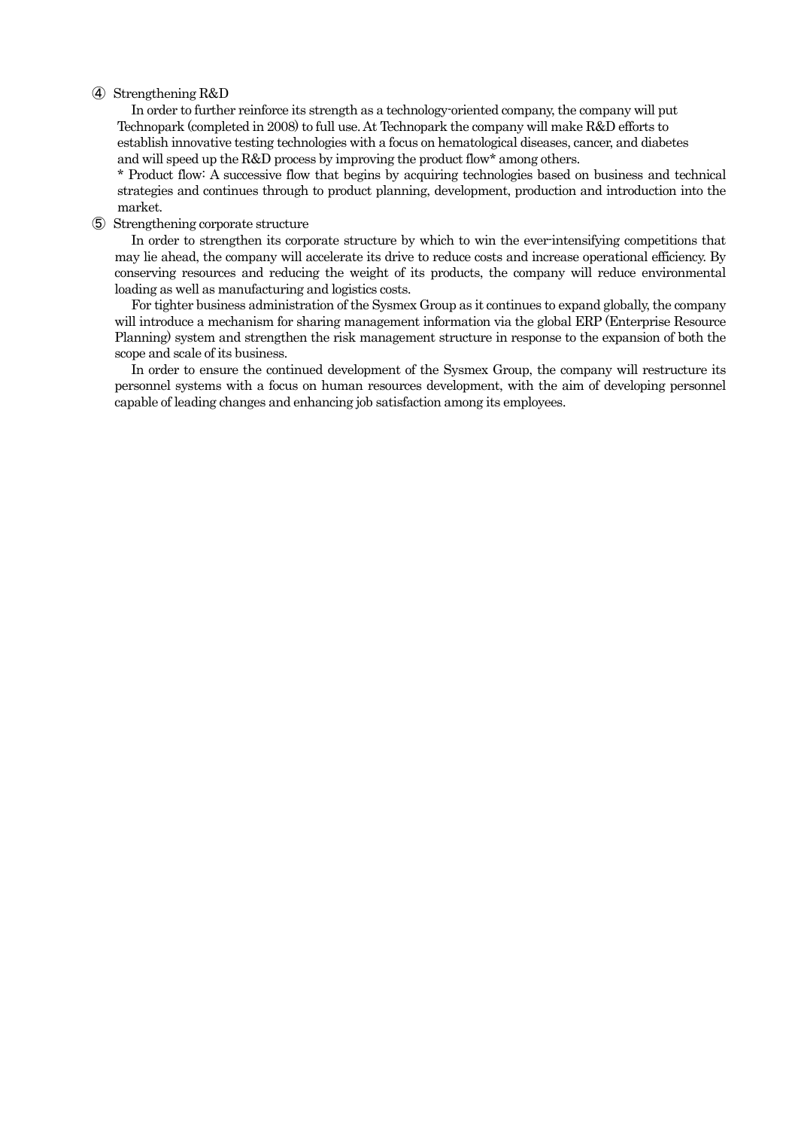#### ④ Strengthening R&D

In order to further reinforce its strength as a technology-oriented company, the company will put Technopark (completed in 2008) to full use. At Technopark the company will make R&D efforts to establish innovative testing technologies with a focus on hematological diseases, cancer, and diabetes and will speed up the R&D process by improving the product flow\* among others.

\* Product flow: A successive flow that begins by acquiring technologies based on business and technical strategies and continues through to product planning, development, production and introduction into the market.

#### ⑤ Strengthening corporate structure

In order to strengthen its corporate structure by which to win the ever-intensifying competitions that may lie ahead, the company will accelerate its drive to reduce costs and increase operational efficiency. By conserving resources and reducing the weight of its products, the company will reduce environmental loading as well as manufacturing and logistics costs.

For tighter business administration of the Sysmex Group as it continues to expand globally, the company will introduce a mechanism for sharing management information via the global ERP (Enterprise Resource Planning) system and strengthen the risk management structure in response to the expansion of both the scope and scale of its business.

In order to ensure the continued development of the Sysmex Group, the company will restructure its personnel systems with a focus on human resources development, with the aim of developing personnel capable of leading changes and enhancing job satisfaction among its employees.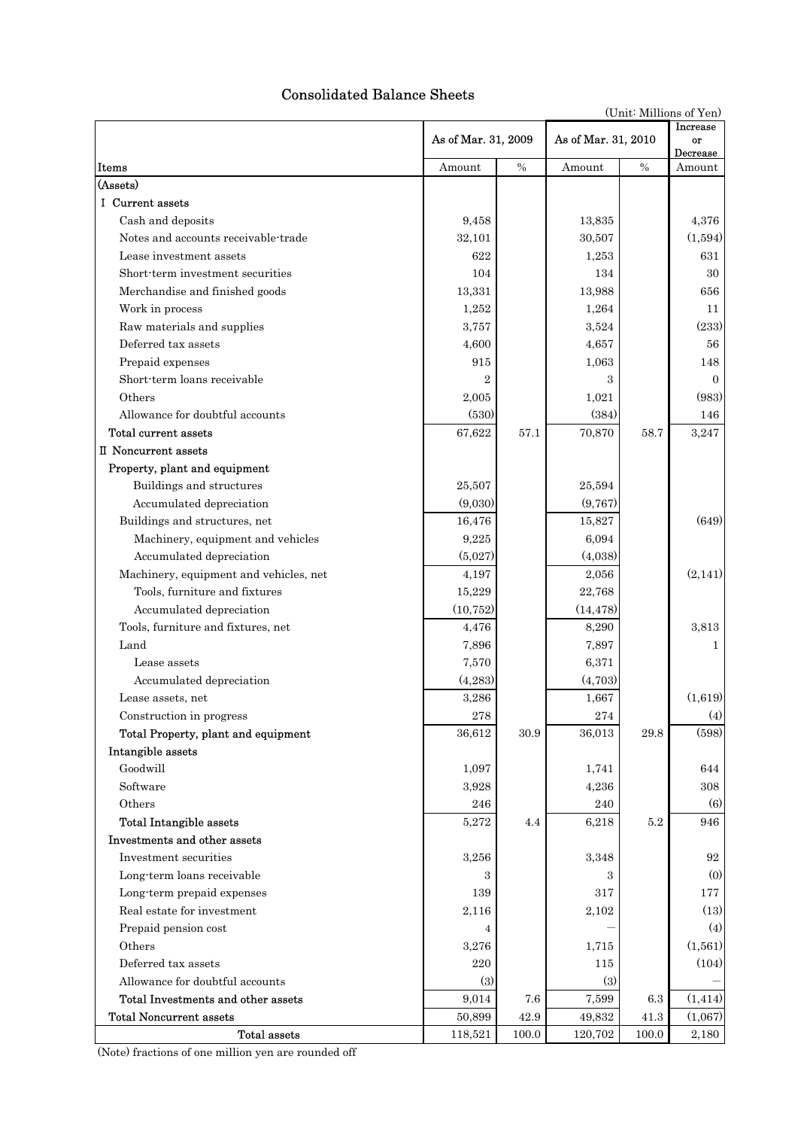# Consolidated Balance Sheets

|                                                                      |                     |                   |                     | (Unit: Millions of Yen) |                            |  |
|----------------------------------------------------------------------|---------------------|-------------------|---------------------|-------------------------|----------------------------|--|
|                                                                      | As of Mar. 31, 2009 |                   | As of Mar. 31, 2010 |                         | Increase<br>or<br>Decrease |  |
| Items                                                                | Amount              | $\%$              | Amount              | $\%$                    | Amount                     |  |
| (Assets)                                                             |                     |                   |                     |                         |                            |  |
| I Current assets                                                     |                     |                   |                     |                         |                            |  |
| Cash and deposits                                                    | 9,458               |                   | 13,835              |                         | 4,376                      |  |
| Notes and accounts receivable-trade                                  | 32,101              |                   | 30,507              |                         | (1,594)                    |  |
| Lease investment assets                                              | 622                 |                   | 1,253               |                         | 631                        |  |
| Short-term investment securities                                     | 104                 |                   | 134                 |                         | 30                         |  |
| Merchandise and finished goods                                       | 13,331              |                   | 13,988              |                         | 656                        |  |
| Work in process                                                      | 1,252               |                   | 1,264               |                         | 11                         |  |
| Raw materials and supplies                                           | 3,757               |                   | 3,524               |                         | (233)                      |  |
| Deferred tax assets                                                  | 4,600               |                   | 4,657               |                         | 56                         |  |
| Prepaid expenses                                                     | 915                 |                   | 1,063               |                         | 148                        |  |
| Short-term loans receivable                                          | $\overline{2}$      |                   | 3                   |                         | $\Omega$                   |  |
| Others                                                               | 2,005               |                   | 1,021               |                         | (983)                      |  |
| Allowance for doubtful accounts                                      | (530)               |                   | (384)               |                         | 146                        |  |
| Total current assets                                                 | 67,622              | 57.1              | 70,870              | 58.7                    | 3,247                      |  |
| II Noncurrent assets                                                 |                     |                   |                     |                         |                            |  |
| Property, plant and equipment                                        |                     |                   |                     |                         |                            |  |
| Buildings and structures                                             | 25,507              |                   | 25,594              |                         |                            |  |
| Accumulated depreciation                                             | (9,030)             |                   | (9,767)             |                         |                            |  |
| Buildings and structures, net                                        | 16,476              |                   | 15,827              |                         | (649)                      |  |
| Machinery, equipment and vehicles                                    | 9,225               |                   | 6,094               |                         |                            |  |
| Accumulated depreciation                                             | (5,027)             |                   | (4,038)             |                         |                            |  |
| Machinery, equipment and vehicles, net                               | 4,197               |                   | 2,056               |                         | (2,141)                    |  |
| Tools, furniture and fixtures                                        | 15,229              |                   | 22,768              |                         |                            |  |
| Accumulated depreciation                                             | (10, 752)           |                   | (14, 478)           |                         |                            |  |
| Tools, furniture and fixtures, net                                   | 4,476               |                   | 8,290               |                         | 3,813                      |  |
| Land                                                                 | 7,896               |                   | 7,897               |                         | $\mathbf{1}$               |  |
| Lease assets                                                         | 7,570               |                   | 6,371               |                         |                            |  |
| Accumulated depreciation                                             | (4, 283)            |                   | (4,703)             |                         |                            |  |
| Lease assets, net                                                    | 3,286               |                   | 1,667               |                         | (1,619)                    |  |
| Construction in progress                                             | 278                 |                   | 274                 |                         | (4)                        |  |
| Total Property, plant and equipment                                  | 36,612              | 30.9              | 36,013              | 29.8                    | (598)                      |  |
| Intangible assets                                                    |                     |                   |                     |                         |                            |  |
| Goodwill                                                             | 1,097               |                   | 1,741               |                         | 644                        |  |
| Software                                                             | 3,928               |                   | 4,236               |                         | 308                        |  |
| Others                                                               | 246                 |                   | 240                 |                         | (6)                        |  |
| <b>Total Intangible assets</b>                                       | 5,272               | 4.4               | 6,218               | $5.2\,$                 | 946                        |  |
| Investments and other assets                                         |                     |                   |                     |                         |                            |  |
| Investment securities                                                | 3,256               |                   | 3,348               |                         | 92                         |  |
| Long-term loans receivable                                           | з                   |                   | 3                   |                         | (0)                        |  |
| Long-term prepaid expenses                                           | 139                 |                   | 317                 |                         | 177                        |  |
| Real estate for investment                                           | 2,116               |                   | 2,102               |                         | (13)                       |  |
|                                                                      |                     |                   |                     |                         | (4)                        |  |
| Prepaid pension cost                                                 | 4                   |                   |                     |                         |                            |  |
| Others                                                               | 3,276               |                   | 1,715               |                         | (1,561)                    |  |
| Deferred tax assets                                                  | 220                 |                   | 115                 |                         | (104)                      |  |
| Allowance for doubtful accounts                                      | (3)                 |                   | (3)                 |                         |                            |  |
| Total Investments and other assets<br><b>Total Noncurrent assets</b> | 9,014               | 7.6               | 7,599               | $6.3\,$                 | (1, 414)                   |  |
| Total assets                                                         | 50,899<br>118,521   | 42.9<br>$100.0\,$ | 49,832<br>120,702   | 41.3<br>100.0           | (1,067)<br>2,180           |  |
|                                                                      |                     |                   |                     |                         |                            |  |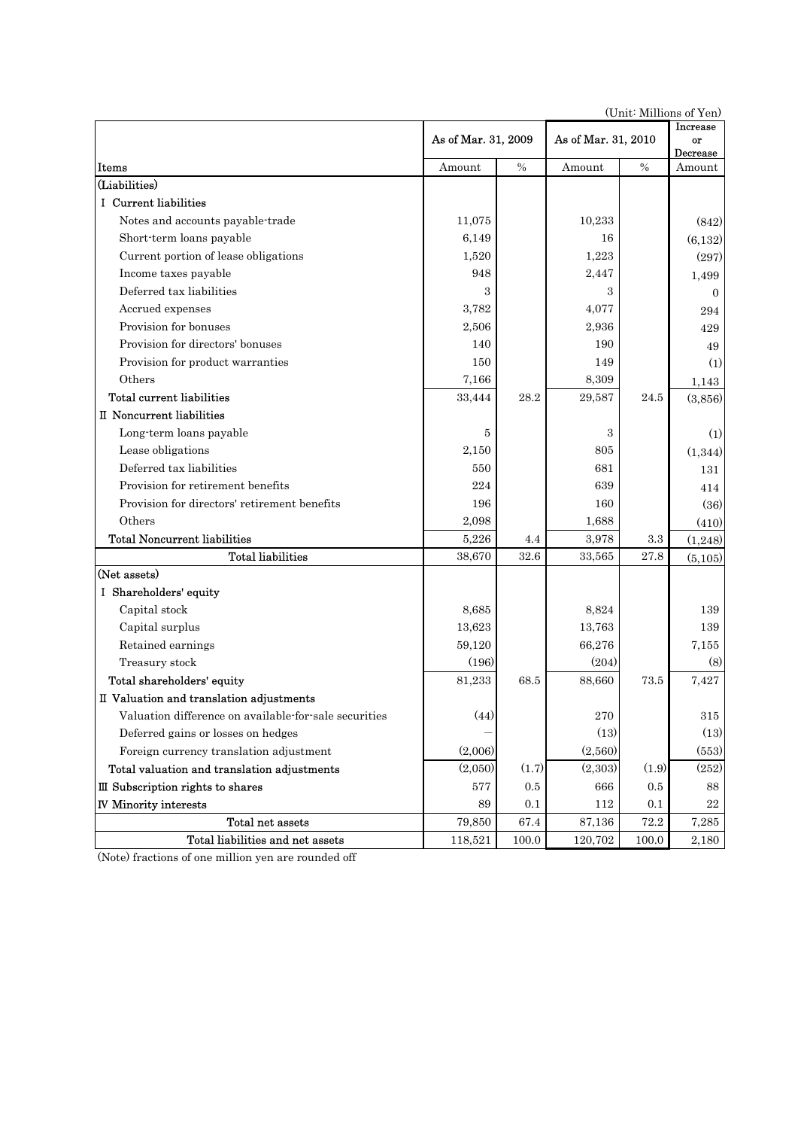|                                                       |                     |          |                     | (Unit, Millions of Ten) |                    |
|-------------------------------------------------------|---------------------|----------|---------------------|-------------------------|--------------------|
|                                                       | As of Mar. 31, 2009 |          | As of Mar. 31, 2010 | Increase<br>or          |                    |
| Items                                                 | Amount              | $\%$     | Amount              | $\%$                    | Decrease<br>Amount |
| (Liabilities)                                         |                     |          |                     |                         |                    |
| I Current liabilities                                 |                     |          |                     |                         |                    |
| Notes and accounts payable-trade                      | 11,075              |          | 10,233              |                         | (842)              |
| Short-term loans payable                              | 6,149               |          | 16                  |                         | (6, 132)           |
| Current portion of lease obligations                  | 1,520               |          | 1,223               |                         | (297)              |
| Income taxes payable                                  | 948                 |          | 2,447               |                         | 1,499              |
| Deferred tax liabilities                              | 3                   |          | 3                   |                         | $\Omega$           |
| Accrued expenses                                      | 3,782               |          | 4,077               |                         | 294                |
| Provision for bonuses                                 | 2,506               |          | 2,936               |                         | 429                |
| Provision for directors' bonuses                      | 140                 |          | 190                 |                         | 49                 |
| Provision for product warranties                      | 150                 |          | 149                 |                         | (1)                |
| Others                                                | 7,166               |          | 8,309               |                         | 1,143              |
| <b>Total current liabilities</b>                      | 33,444              | 28.2     | 29,587              | 24.5                    | (3,856)            |
| II Noncurrent liabilities                             |                     |          |                     |                         |                    |
| Long-term loans payable                               | 5                   |          | 3                   |                         | (1)                |
| Lease obligations                                     | 2,150               |          | 805                 |                         | (1,344)            |
| Deferred tax liabilities                              | 550                 |          | 681                 |                         | 131                |
| Provision for retirement benefits                     | 224                 |          | 639                 |                         | 414                |
| Provision for directors' retirement benefits          | 196                 |          | 160                 |                         | (36)               |
| Others                                                | 2,098               |          | 1,688               |                         | (410)              |
| <b>Total Noncurrent liabilities</b>                   | 5,226               | 4.4      | 3,978               | 3.3                     | (1,248)            |
| <b>Total liabilities</b>                              | 38,670              | 32.6     | 33,565              | 27.8                    | (5,105)            |
| (Net assets)                                          |                     |          |                     |                         |                    |
| I Shareholders' equity                                |                     |          |                     |                         |                    |
| Capital stock                                         | 8,685               |          | 8,824               |                         | 139                |
| Capital surplus                                       | 13,623              |          | 13,763              |                         | 139                |
| Retained earnings                                     | 59,120              |          | 66,276              |                         | 7,155              |
| Treasury stock                                        | (196)               |          | (204)               |                         | (8)                |
| Total shareholders' equity                            | 81,233              | 68.5     | 88,660              | 73.5                    | 7,427              |
| II Valuation and translation adjustments              |                     |          |                     |                         |                    |
| Valuation difference on available-for-sale securities | (44)                |          | $270\,$             |                         | 315                |
| Deferred gains or losses on hedges                    |                     |          | (13)                |                         | (13)               |
| Foreign currency translation adjustment               | (2,006)             |          | (2,560)             |                         | (553)              |
| Total valuation and translation adjustments           | (2,050)             | (1.7)    | (2,303)             | (1.9)                   | (252)              |
| III Subscription rights to shares                     | 577                 | 0.5      | 666                 | $0.5\,$                 | 88                 |
| <b>IV Minority interests</b>                          | 89                  | 0.1      | 112                 | 0.1                     | 22                 |
| Total net assets                                      | 79,850              | $67.4\,$ | 87,136              | $72.2\,$                | 7,285              |
| Total liabilities and net assets                      | 118,521             | 100.0    | 120,702             | 100.0                   | 2,180              |

(Unit: Millions of Yen)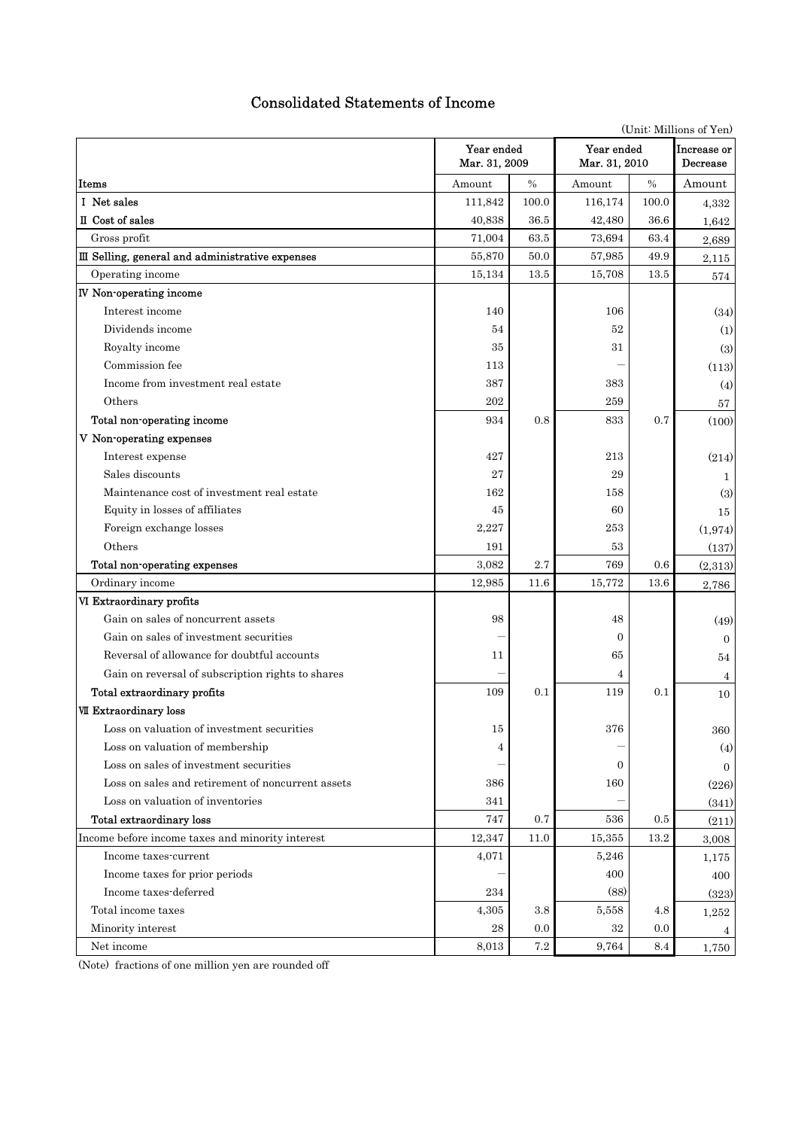# Consolidated Statements of Income

|                                                   | (Unit: Millions of Yen)     |         |                             |                         |                |  |  |
|---------------------------------------------------|-----------------------------|---------|-----------------------------|-------------------------|----------------|--|--|
|                                                   | Year ended<br>Mar. 31, 2009 |         | Year ended<br>Mar. 31, 2010 | Increase or<br>Decrease |                |  |  |
| Items                                             | Amount                      | $\%$    | Amount                      | $\%$                    | Amount         |  |  |
| I Net sales                                       | 111,842                     | 100.0   | 116,174                     | 100.0                   | 4,332          |  |  |
| II Cost of sales                                  | 40,838                      | 36.5    | 42,480                      | 36.6                    | 1,642          |  |  |
| Gross profit                                      | 71,004                      | 63.5    | 73,694                      | 63.4                    | 2,689          |  |  |
| III Selling, general and administrative expenses  | 55,870                      | 50.0    | 57,985                      | 49.9                    | 2,115          |  |  |
| Operating income                                  | 15,134                      | 13.5    | 15,708                      | 13.5                    | 574            |  |  |
| <b>IV</b> Non-operating income                    |                             |         |                             |                         |                |  |  |
| Interest income                                   | 140                         |         | 106                         |                         | (34)           |  |  |
| Dividends income                                  | 54                          |         | 52                          |                         | (1)            |  |  |
| Royalty income                                    | 35                          |         | 31                          |                         | (3)            |  |  |
| Commission fee                                    | 113                         |         |                             |                         | (113)          |  |  |
| Income from investment real estate                | 387                         |         | 383                         |                         | (4)            |  |  |
| Others                                            | 202                         |         | 259                         |                         | 57             |  |  |
| Total non-operating income                        | 934                         | 0.8     | 833                         | 0.7                     | (100)          |  |  |
| V Non-operating expenses                          |                             |         |                             |                         |                |  |  |
| Interest expense                                  | 427                         |         | 213                         |                         | (214)          |  |  |
| Sales discounts                                   | 27                          |         | 29                          |                         | 1              |  |  |
| Maintenance cost of investment real estate        | 162                         |         | 158                         |                         | (3)            |  |  |
| Equity in losses of affiliates                    | 45                          |         | 60                          |                         | 15             |  |  |
| Foreign exchange losses                           | 2,227                       |         | 253                         |                         | (1,974)        |  |  |
| Others                                            | 191                         |         | 53                          |                         | (137)          |  |  |
| Total non-operating expenses                      | 3,082                       | 2.7     | 769                         | 0.6                     | (2,313)        |  |  |
| Ordinary income                                   | 12,985                      | 11.6    | 15,772                      | 13.6                    | 2,786          |  |  |
| VI Extraordinary profits                          |                             |         |                             |                         |                |  |  |
| Gain on sales of noncurrent assets                | 98                          |         | 48                          |                         | (49)           |  |  |
| Gain on sales of investment securities            |                             |         | $\Omega$                    |                         | $\overline{0}$ |  |  |
| Reversal of allowance for doubtful accounts       | 11                          |         | 65                          |                         | 54             |  |  |
| Gain on reversal of subscription rights to shares |                             |         | 4                           |                         | 4              |  |  |
| Total extraordinary profits                       | 109                         | 0.1     | 119                         | 0.1                     | 10             |  |  |
| VII Extraordinary loss                            |                             |         |                             |                         |                |  |  |
| Loss on valuation of investment securities        | 15                          |         | 376                         |                         | 360            |  |  |
| Loss on valuation of membership                   | 4                           |         |                             |                         | (4)            |  |  |
| Loss on sales of investment securities            |                             |         | $\mathbf{0}$                |                         | $\overline{0}$ |  |  |
| Loss on sales and retirement of noncurrent assets | 386                         |         | 160                         |                         | (226)          |  |  |
| Loss on valuation of inventories                  | 341                         |         |                             |                         | (341)          |  |  |
| Total extraordinary loss                          | 747                         | 0.7     | 536                         | 0.5                     | (211)          |  |  |
| Income before income taxes and minority interest  | 12,347                      | 11.0    | 15,355                      | 13.2                    | 3,008          |  |  |
| Income taxes-current                              | 4,071                       |         | 5,246                       |                         | 1,175          |  |  |
| Income taxes for prior periods                    |                             |         | 400                         |                         | 400            |  |  |
| Income taxes-deferred                             | 234                         |         | (88)                        |                         | (323)          |  |  |
| Total income taxes                                | 4,305                       | 3.8     | 5,558                       | 4.8                     | 1,252          |  |  |
| Minority interest                                 | 28                          | 0.0     | 32                          | 0.0                     |                |  |  |
| Net income                                        | 8,013                       | $7.2\,$ | 9,764                       | 8.4                     | 1,750          |  |  |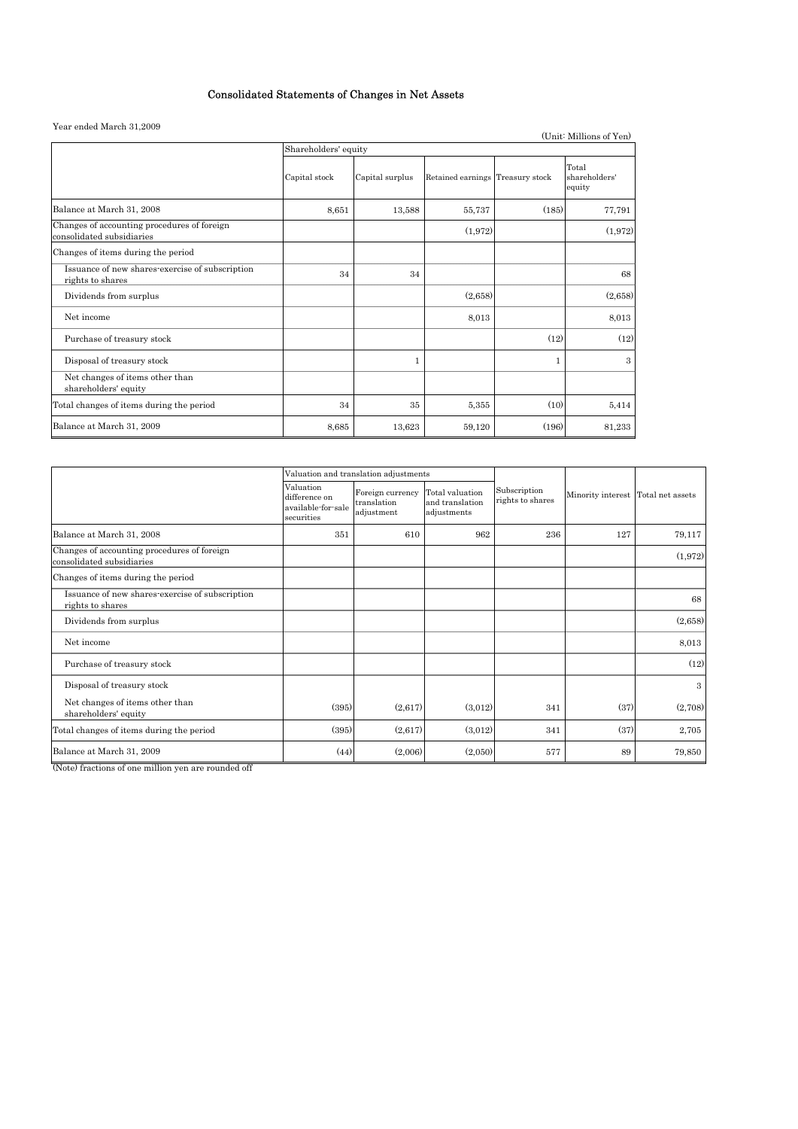### Consolidated Statements of Changes in Net Assets

### Year ended March 31,2009

| rear ended March 31,2009                                                 |                      |                 |                                  |       | (Unit: Millions of Yen)          |  |  |  |  |
|--------------------------------------------------------------------------|----------------------|-----------------|----------------------------------|-------|----------------------------------|--|--|--|--|
|                                                                          | Shareholders' equity |                 |                                  |       |                                  |  |  |  |  |
|                                                                          | Capital stock        | Capital surplus | Retained earnings Treasury stock |       | Total<br>shareholders'<br>equity |  |  |  |  |
| Balance at March 31, 2008                                                | 8,651                | 13,588          | 55,737                           | (185) | 77,791                           |  |  |  |  |
| Changes of accounting procedures of foreign<br>consolidated subsidiaries |                      |                 | (1,972)                          |       | (1,972)                          |  |  |  |  |
| Changes of items during the period                                       |                      |                 |                                  |       |                                  |  |  |  |  |
| Issuance of new shares-exercise of subscription<br>rights to shares      | 34                   | 34              |                                  |       | 68                               |  |  |  |  |
| Dividends from surplus                                                   |                      |                 | (2,658)                          |       | (2,658)                          |  |  |  |  |
| Net income                                                               |                      |                 | 8,013                            |       | 8,013                            |  |  |  |  |
| Purchase of treasury stock                                               |                      |                 |                                  | (12)  | (12)                             |  |  |  |  |
| Disposal of treasury stock                                               |                      |                 |                                  |       | $\mathcal{R}$                    |  |  |  |  |
| Net changes of items other than<br>shareholders' equity                  |                      |                 |                                  |       |                                  |  |  |  |  |
| Total changes of items during the period                                 | 34                   | 35              | 5,355                            | (10)  | 5,414                            |  |  |  |  |
| Balance at March 31, 2009                                                | 8,685                | 13,623          | 59,120                           | (196) | 81,233                           |  |  |  |  |

|                                                                          |                                                                | Valuation and translation adjustments         |                                                   |                                  |                                    |               |
|--------------------------------------------------------------------------|----------------------------------------------------------------|-----------------------------------------------|---------------------------------------------------|----------------------------------|------------------------------------|---------------|
|                                                                          | Valuation<br>difference on<br>available-for-sale<br>securities | Foreign currency<br>translation<br>adjustment | Total valuation<br>and translation<br>adjustments | Subscription<br>rights to shares | Minority interest Total net assets |               |
| Balance at March 31, 2008                                                | 351                                                            | 610                                           | 962                                               | 236                              | 127                                | 79,117        |
| Changes of accounting procedures of foreign<br>consolidated subsidiaries |                                                                |                                               |                                                   |                                  |                                    | (1,972)       |
| Changes of items during the period                                       |                                                                |                                               |                                                   |                                  |                                    |               |
| Issuance of new shares-exercise of subscription<br>rights to shares      |                                                                |                                               |                                                   |                                  |                                    | 68            |
| Dividends from surplus                                                   |                                                                |                                               |                                                   |                                  |                                    | (2,658)       |
| Net income                                                               |                                                                |                                               |                                                   |                                  |                                    | 8,013         |
| Purchase of treasury stock                                               |                                                                |                                               |                                                   |                                  |                                    | (12)          |
| Disposal of treasury stock                                               |                                                                |                                               |                                                   |                                  |                                    | $\mathcal{S}$ |
| Net changes of items other than<br>shareholders' equity                  | (395)                                                          | (2,617)                                       | (3,012)                                           | 341                              | (37)                               | (2,708)       |
| Total changes of items during the period                                 | (395)                                                          | (2,617)                                       | (3,012)                                           | 341                              | (37)                               | 2,705         |
| Balance at March 31, 2009                                                | (44)                                                           | (2,006)                                       | (2,050)                                           | 577                              | 89                                 | 79,850        |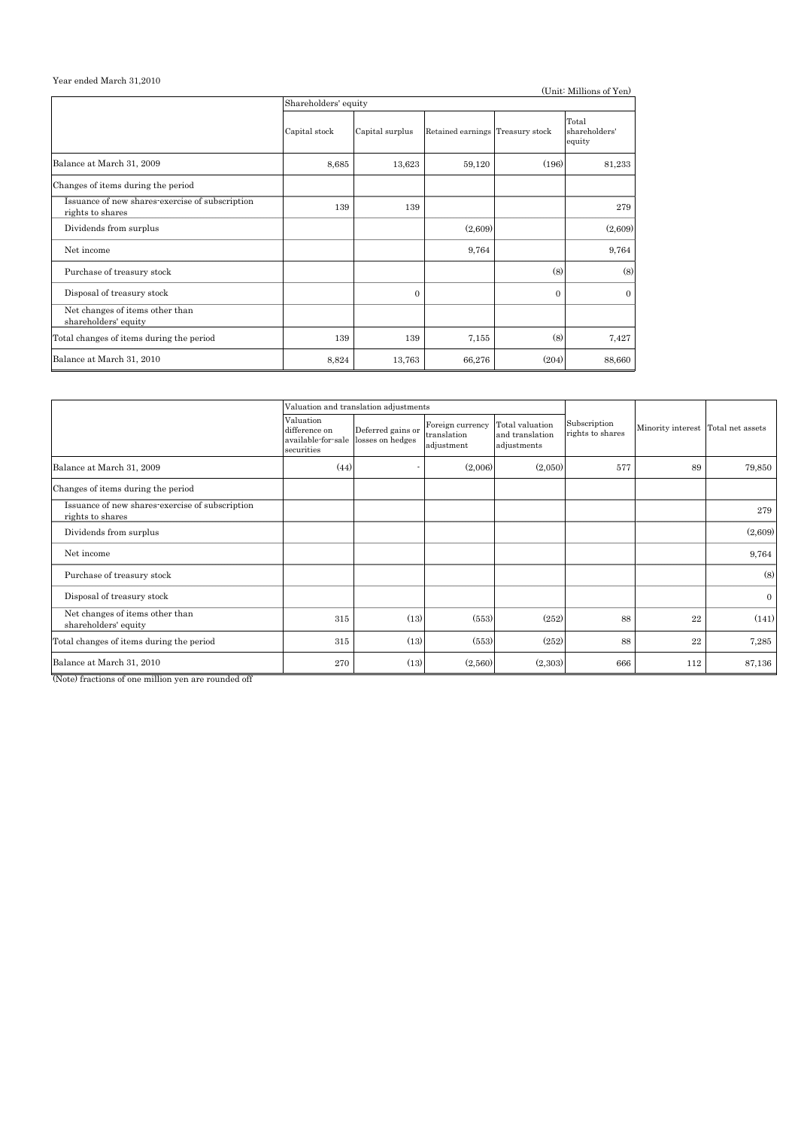# Year ended March 31,2010

| real ended march 51,2010                                            |                      |                 |                                  |          | (Unit: Millions of Yen)          |  |  |  |  |  |
|---------------------------------------------------------------------|----------------------|-----------------|----------------------------------|----------|----------------------------------|--|--|--|--|--|
|                                                                     | Shareholders' equity |                 |                                  |          |                                  |  |  |  |  |  |
|                                                                     | Capital stock        | Capital surplus | Retained earnings Treasury stock |          | Total<br>shareholders'<br>equity |  |  |  |  |  |
| Balance at March 31, 2009                                           | 8,685                | 13,623          | 59,120                           | (196)    | 81,233                           |  |  |  |  |  |
| Changes of items during the period                                  |                      |                 |                                  |          |                                  |  |  |  |  |  |
| Issuance of new shares-exercise of subscription<br>rights to shares | 139                  | 139             |                                  |          | 279                              |  |  |  |  |  |
| Dividends from surplus                                              |                      |                 | (2,609)                          |          | (2,609)                          |  |  |  |  |  |
| Net income                                                          |                      |                 | 9,764                            |          | 9,764                            |  |  |  |  |  |
| Purchase of treasury stock                                          |                      |                 |                                  | (8)      | (8)                              |  |  |  |  |  |
| Disposal of treasury stock                                          |                      | $\Omega$        |                                  | $\Omega$ | $\Omega$                         |  |  |  |  |  |
| Net changes of items other than<br>shareholders' equity             |                      |                 |                                  |          |                                  |  |  |  |  |  |
| Total changes of items during the period                            | 139                  | 139             | 7,155                            | (8)      | 7,427                            |  |  |  |  |  |
| Balance at March 31, 2010                                           | 8,824                | 13,763          | 66,276                           | (204)    | 88,660                           |  |  |  |  |  |

|                                                                     |                                                                | Valuation and translation adjustments |                                               |                                                   |                                  |                                    |              |  |
|---------------------------------------------------------------------|----------------------------------------------------------------|---------------------------------------|-----------------------------------------------|---------------------------------------------------|----------------------------------|------------------------------------|--------------|--|
|                                                                     | Valuation<br>difference on<br>available-for-sale<br>securities | Deferred gains or<br>losses on hedges | Foreign currency<br>translation<br>adjustment | Total valuation<br>and translation<br>adjustments | Subscription<br>rights to shares | Minority interest Total net assets |              |  |
| Balance at March 31, 2009                                           | (44)                                                           |                                       | (2,006)                                       | (2,050)                                           | 577                              | 89                                 | 79,850       |  |
| Changes of items during the period                                  |                                                                |                                       |                                               |                                                   |                                  |                                    |              |  |
| Issuance of new shares-exercise of subscription<br>rights to shares |                                                                |                                       |                                               |                                                   |                                  |                                    | 279          |  |
| Dividends from surplus                                              |                                                                |                                       |                                               |                                                   |                                  |                                    | (2,609)      |  |
| Net income                                                          |                                                                |                                       |                                               |                                                   |                                  |                                    | 9,764        |  |
| Purchase of treasury stock                                          |                                                                |                                       |                                               |                                                   |                                  |                                    | (8)          |  |
| Disposal of treasury stock                                          |                                                                |                                       |                                               |                                                   |                                  |                                    | $\mathbf{0}$ |  |
| Net changes of items other than<br>shareholders' equity             | 315                                                            | (13)                                  | (553)                                         | (252)                                             | 88                               | 22                                 | (141)        |  |
| Total changes of items during the period                            | 315                                                            | (13)                                  | (553)                                         | (252)                                             | 88                               | 22                                 | 7,285        |  |
| Balance at March 31, 2010                                           | 270                                                            | (13)                                  | (2,560)                                       | (2,303)                                           | 666                              | 112                                | 87,136       |  |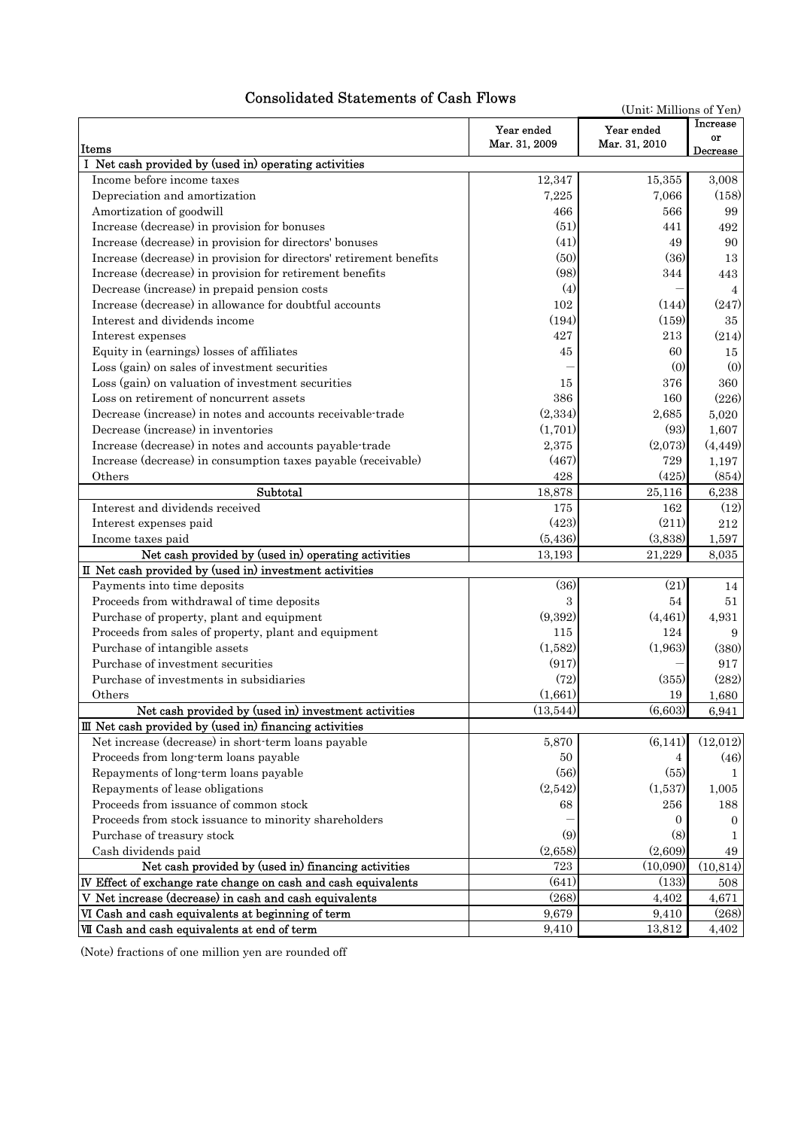# Consolidated Statements of Cash Flows

| (Unit: Millions of Yen)                                                 |                             |                             |                       |  |
|-------------------------------------------------------------------------|-----------------------------|-----------------------------|-----------------------|--|
| Items                                                                   | Year ended<br>Mar. 31, 2009 | Year ended<br>Mar. 31, 2010 | <b>Increase</b><br>or |  |
| I Net cash provided by (used in) operating activities                   |                             |                             | Decrease              |  |
| Income before income taxes                                              | 12,347                      | 15,355                      | 3,008                 |  |
| Depreciation and amortization                                           | 7,225                       | 7,066                       | (158)                 |  |
| Amortization of goodwill                                                | 466                         | 566                         | 99                    |  |
| Increase (decrease) in provision for bonuses                            | (51)                        | 441                         | 492                   |  |
| Increase (decrease) in provision for directors' bonuses                 | (41)                        | 49                          | 90                    |  |
| Increase (decrease) in provision for directors' retirement benefits     | (50)                        | (36)                        | 13                    |  |
| Increase (decrease) in provision for retirement benefits                | (98)                        | 344                         | 443                   |  |
| Decrease (increase) in prepaid pension costs                            | (4)                         |                             | $\overline{4}$        |  |
| Increase (decrease) in allowance for doubtful accounts                  | 102                         | (144)                       | (247)                 |  |
| Interest and dividends income                                           | (194)                       | (159)                       | 35                    |  |
| Interest expenses                                                       | 427                         | 213                         | (214)                 |  |
| Equity in (earnings) losses of affiliates                               | 45                          | 60                          | 15                    |  |
| Loss (gain) on sales of investment securities                           |                             | (0)                         | (0)                   |  |
| Loss (gain) on valuation of investment securities                       | 15                          | 376                         | 360                   |  |
| Loss on retirement of noncurrent assets                                 | 386                         | 160                         | (226)                 |  |
| Decrease (increase) in notes and accounts receivable-trade              | (2,334)                     | 2,685                       | 5.020                 |  |
| Decrease (increase) in inventories                                      | (1,701)                     | (93)                        |                       |  |
| Increase (decrease) in notes and accounts payable-trade                 | 2,375                       | (2,073)                     | 1,607                 |  |
|                                                                         | (467)                       | 729                         | (4, 449)              |  |
| Increase (decrease) in consumption taxes payable (receivable)<br>Others | 428                         | (425)                       | 1,197                 |  |
| Subtotal                                                                | 18,878                      | 25,116                      | (854)                 |  |
| Interest and dividends received                                         | 175                         | 162                         | 6,238<br>(12)         |  |
| Interest expenses paid                                                  | (423)                       | (211)                       | $212\,$               |  |
| Income taxes paid                                                       | (5, 436)                    | (3,838)                     | 1,597                 |  |
| Net cash provided by (used in) operating activities                     | 13,193                      | 21,229                      | 8.035                 |  |
| II Net cash provided by (used in) investment activities                 |                             |                             |                       |  |
| Payments into time deposits                                             | (36)                        | (21)                        | 14                    |  |
| Proceeds from withdrawal of time deposits                               | 3                           | 54                          | 51                    |  |
| Purchase of property, plant and equipment                               | (9,392)                     | (4, 461)                    | 4,931                 |  |
| Proceeds from sales of property, plant and equipment                    | 115                         | 124                         | 9                     |  |
| Purchase of intangible assets                                           | (1,582)                     | (1,963)                     | (380)                 |  |
| Purchase of investment securities                                       | (917)                       |                             | 917                   |  |
| Purchase of investments in subsidiaries                                 | (72)                        | (355)                       | (282)                 |  |
| Others                                                                  | (1,661)                     | 19                          | 1,680                 |  |
| Net cash provided by (used in) investment activities                    | (13, 544)                   | (6,603)                     | 6,941                 |  |
| III Net cash provided by (used in) financing activities                 |                             |                             |                       |  |
| Net increase (decrease) in short-term loans payable                     | 5,870                       | (6, 141)                    | (12,012)              |  |
| Proceeds from long-term loans payable                                   | 50                          | 4                           | (46)                  |  |
| Repayments of long-term loans payable                                   | (56)                        | (55)                        | 1                     |  |
| Repayments of lease obligations                                         | (2,542)                     | (1,537)                     | 1,005                 |  |
| Proceeds from issuance of common stock                                  | 68                          | 256                         | 188                   |  |
| Proceeds from stock issuance to minority shareholders                   |                             | 0                           | $\Omega$              |  |
| Purchase of treasury stock                                              | (9)                         | (8)                         | 1                     |  |
| Cash dividends paid                                                     | (2,658)                     | (2,609)                     | 49                    |  |
| Net cash provided by (used in) financing activities                     | 723                         | (10,090)                    | (10, 814)             |  |
| IV Effect of exchange rate change on cash and cash equivalents          | (641)                       | (133)                       | 508                   |  |
| V Net increase (decrease) in cash and cash equivalents                  | (268)                       | 4,402                       | 4,671                 |  |
| VI Cash and cash equivalents at beginning of term                       | 9,679                       | 9,410                       | (268)                 |  |
| VII Cash and cash equivalents at end of term                            | 9,410                       | 13,812                      | 4,402                 |  |